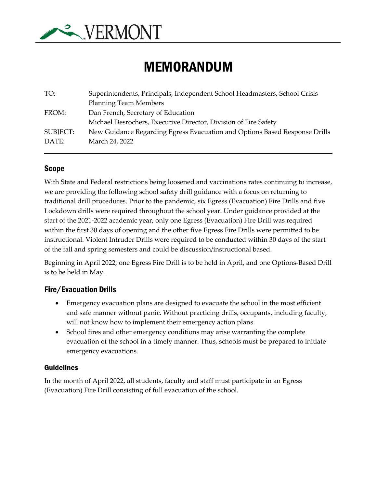

# MEMORANDUM

| TO:      | Superintendents, Principals, Independent School Headmasters, School Crisis |
|----------|----------------------------------------------------------------------------|
|          | <b>Planning Team Members</b>                                               |
| FROM:    | Dan French, Secretary of Education                                         |
|          | Michael Desrochers, Executive Director, Division of Fire Safety            |
| SUBJECT: | New Guidance Regarding Egress Evacuation and Options Based Response Drills |
| DATE:    | March 24, 2022                                                             |
|          |                                                                            |

#### Scope

With State and Federal restrictions being loosened and vaccinations rates continuing to increase, we are providing the following school safety drill guidance with a focus on returning to traditional drill procedures. Prior to the pandemic, six Egress (Evacuation) Fire Drills and five Lockdown drills were required throughout the school year. Under guidance provided at the start of the 2021-2022 academic year, only one Egress (Evacuation) Fire Drill was required within the first 30 days of opening and the other five Egress Fire Drills were permitted to be instructional. Violent Intruder Drills were required to be conducted within 30 days of the start of the fall and spring semesters and could be discussion/instructional based.

Beginning in April 2022, one Egress Fire Drill is to be held in April, and one Options-Based Drill is to be held in May.

#### Fire/Evacuation Drills

- Emergency evacuation plans are designed to evacuate the school in the most efficient and safe manner without panic. Without practicing drills, occupants, including faculty, will not know how to implement their emergency action plans.
- School fires and other emergency conditions may arise warranting the complete evacuation of the school in a timely manner. Thus, schools must be prepared to initiate emergency evacuations.

#### Guidelines

In the month of April 2022, all students, faculty and staff must participate in an Egress (Evacuation) Fire Drill consisting of full evacuation of the school.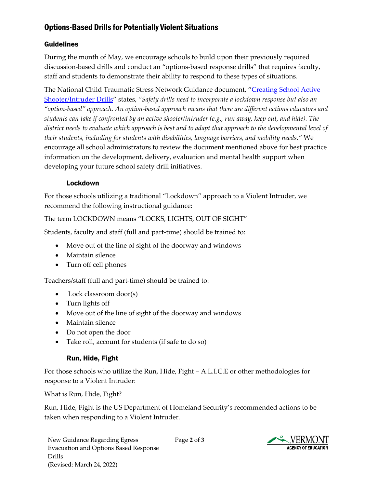## Options-Based Drills for Potentially Violent Situations

#### Guidelines

During the month of May, we encourage schools to build upon their previously required discussion-based drills and conduct an "options-based response drills" that requires faculty, staff and students to demonstrate their ability to respond to these types of situations.

The National Child Traumatic Stress Network Guidance document, "[Creating School Active](https://www.nctsn.org/resources/creating-school-active-shooter-intruder-drills)  [Shooter/Intruder Drills](https://www.nctsn.org/resources/creating-school-active-shooter-intruder-drills)" states, *"Safety drills need to incorporate a lockdown response but also an "option-based" approach. An option-based approach means that there are different actions educators and students can take if confronted by an active shooter/intruder (e.g., run away, keep out, and hide). The district needs to evaluate which approach is best and to adapt that approach to the developmental level of their students, including for students with disabilities, language barriers, and mobility needs."* We encourage all school administrators to review the document mentioned above for best practice information on the development, delivery, evaluation and mental health support when developing your future school safety drill initiatives.

#### Lockdown

For those schools utilizing a traditional "Lockdown" approach to a Violent Intruder, we recommend the following instructional guidance:

The term LOCKDOWN means "LOCKS, LIGHTS, OUT OF SIGHT"

Students, faculty and staff (full and part-time) should be trained to:

- Move out of the line of sight of the doorway and windows
- Maintain silence
- Turn off cell phones

Teachers/staff (full and part-time) should be trained to:

- Lock classroom door(s)
- Turn lights off
- Move out of the line of sight of the doorway and windows
- Maintain silence
- Do not open the door
- Take roll, account for students (if safe to do so)

# Run, Hide, Fight

For those schools who utilize the Run, Hide, Fight – A.L.I.C.E or other methodologies for response to a Violent Intruder:

What is Run, Hide, Fight?

Run, Hide, Fight is the US Department of Homeland Security's recommended actions to be taken when responding to a Violent Intruder.